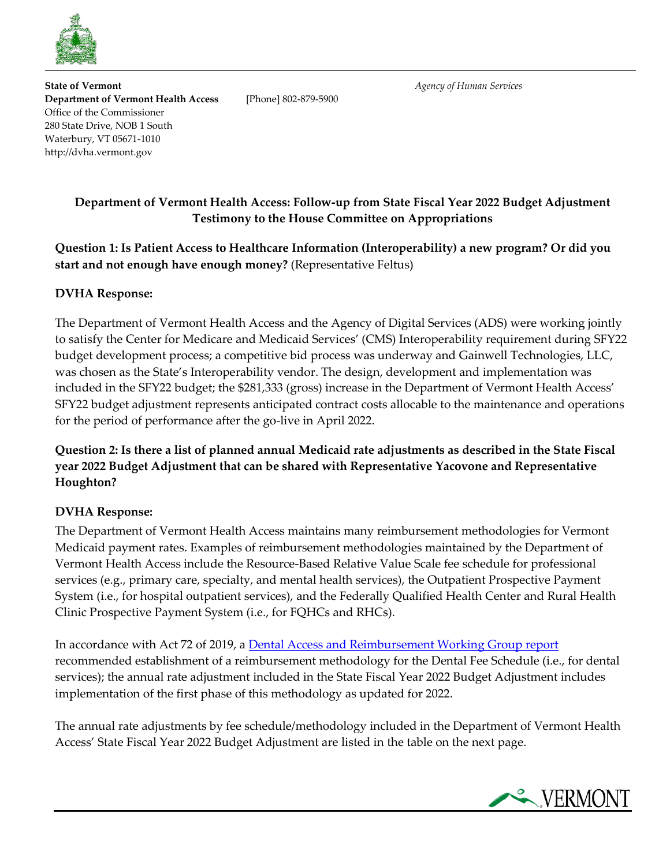

**State of Vermont** *Agency of Human Services* **Department of Vermont Health Access** [Phone] 802-879-5900 Office of the Commissioner 280 State Drive, NOB 1 South Waterbury, VT 05671-1010 http://dvha.vermont.gov

## **Department of Vermont Health Access: Follow-up from State Fiscal Year 2022 Budget Adjustment Testimony to the House Committee on Appropriations**

**Question 1: Is Patient Access to Healthcare Information (Interoperability) a new program? Or did you start and not enough have enough money?** (Representative Feltus)

## **DVHA Response:**

The Department of Vermont Health Access and the Agency of Digital Services (ADS) were working jointly to satisfy the Center for Medicare and Medicaid Services' (CMS) Interoperability requirement during SFY22 budget development process; a competitive bid process was underway and Gainwell Technologies, LLC, was chosen as the State's Interoperability vendor. The design, development and implementation was included in the SFY22 budget; the \$281,333 (gross) increase in the Department of Vermont Health Access' SFY22 budget adjustment represents anticipated contract costs allocable to the maintenance and operations for the period of performance after the go-live in April 2022.

## **Question 2: Is there a list of planned annual Medicaid rate adjustments as described in the State Fiscal year 2022 Budget Adjustment that can be shared with Representative Yacovone and Representative Houghton?**

## **DVHA Response:**

The Department of Vermont Health Access maintains many reimbursement methodologies for Vermont Medicaid payment rates. Examples of reimbursement methodologies maintained by the Department of Vermont Health Access include the Resource-Based Relative Value Scale fee schedule for professional services (e.g., primary care, specialty, and mental health services), the Outpatient Prospective Payment System (i.e., for hospital outpatient services), and the Federally Qualified Health Center and Rural Health Clinic Prospective Payment System (i.e., for FQHCs and RHCs).

In accordance with Act 72 of 2019, a [Dental Access and Reimbursement Working Group report](https://legislature.vermont.gov/assets/Legislative-Reports/Sec.-E.306.3-Act-72-of-2019-Dental-Access-Reimbursement-1-November-2019_DVHA_FINAL.pdf) recommended establishment of a reimbursement methodology for the Dental Fee Schedule (i.e., for dental services); the annual rate adjustment included in the State Fiscal Year 2022 Budget Adjustment includes implementation of the first phase of this methodology as updated for 2022.

The annual rate adjustments by fee schedule/methodology included in the Department of Vermont Health Access' State Fiscal Year 2022 Budget Adjustment are listed in the table on the next page.